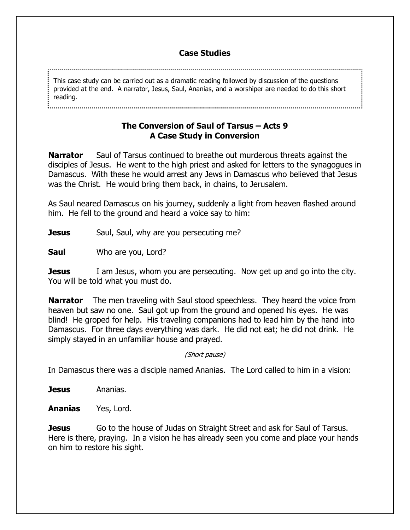## **Case Studies**

This case study can be carried out as a dramatic reading followed by discussion of the questions provided at the end. A narrator, Jesus, Saul, Ananias, and a worshiper are needed to do this short reading.

## **The Conversion of Saul of Tarsus – Acts 9 A Case Study in Conversion**

**Narrator** Saul of Tarsus continued to breathe out murderous threats against the disciples of Jesus. He went to the high priest and asked for letters to the synagogues in Damascus. With these he would arrest any Jews in Damascus who believed that Jesus was the Christ. He would bring them back, in chains, to Jerusalem.

As Saul neared Damascus on his journey, suddenly a light from heaven flashed around him. He fell to the ground and heard a voice say to him:

**Jesus** Saul, Saul, why are you persecuting me?

**Saul** Who are you, Lord?

**Jesus** I am Jesus, whom you are persecuting. Now get up and go into the city. You will be told what you must do.

**Narrator** The men traveling with Saul stood speechless. They heard the voice from heaven but saw no one. Saul got up from the ground and opened his eyes. He was blind! He groped for help. His traveling companions had to lead him by the hand into Damascus. For three days everything was dark. He did not eat; he did not drink. He simply stayed in an unfamiliar house and prayed.

(Short pause)

In Damascus there was a disciple named Ananias. The Lord called to him in a vision:

**Jesus** Ananias.

**Ananias** Yes, Lord.

**Jesus** Go to the house of Judas on Straight Street and ask for Saul of Tarsus. Here is there, praying. In a vision he has already seen you come and place your hands on him to restore his sight.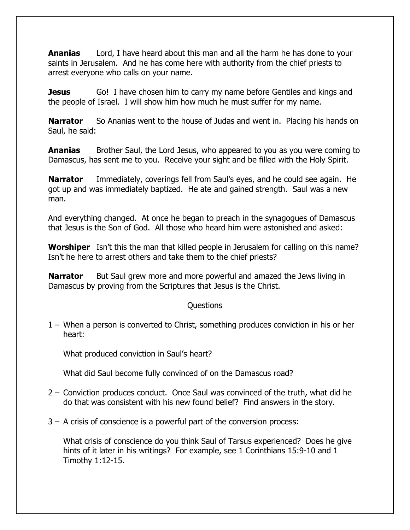**Ananias** Lord, I have heard about this man and all the harm he has done to your saints in Jerusalem. And he has come here with authority from the chief priests to arrest everyone who calls on your name.

**Jesus** Go! I have chosen him to carry my name before Gentiles and kings and the people of Israel. I will show him how much he must suffer for my name.

**Narrator** So Ananias went to the house of Judas and went in. Placing his hands on Saul, he said:

**Ananias** Brother Saul, the Lord Jesus, who appeared to you as you were coming to Damascus, has sent me to you. Receive your sight and be filled with the Holy Spirit.

**Narrator** Immediately, coverings fell from Saul's eyes, and he could see again. He got up and was immediately baptized. He ate and gained strength. Saul was a new man.

And everything changed. At once he began to preach in the synagogues of Damascus that Jesus is the Son of God. All those who heard him were astonished and asked:

**Worshiper** Isn't this the man that killed people in Jerusalem for calling on this name? Isn't he here to arrest others and take them to the chief priests?

**Narrator** But Saul grew more and more powerful and amazed the Jews living in Damascus by proving from the Scriptures that Jesus is the Christ.

## Questions

1 – When a person is converted to Christ, something produces conviction in his or her heart:

What produced conviction in Saul's heart?

What did Saul become fully convinced of on the Damascus road?

- 2 Conviction produces conduct. Once Saul was convinced of the truth, what did he do that was consistent with his new found belief? Find answers in the story.
- 3 A crisis of conscience is a powerful part of the conversion process:

What crisis of conscience do you think Saul of Tarsus experienced? Does he give hints of it later in his writings? For example, see 1 Corinthians 15:9-10 and 1 Timothy 1:12-15.